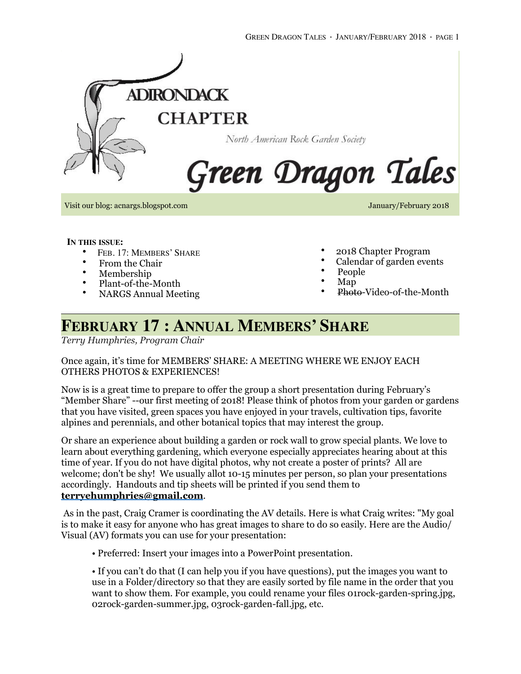

Visit our blog: acnargs.blogspot.com January/February 2018

**IN THIS ISSUE:**

- FEB. 17: MEMBERS' SHARE
- From the Chair
- Membership
- Plant-of-the-Month
- NARGS Annual Meeting
- 2018 Chapter Program
- Calendar of garden events
- People
- Map
- Photo-Video-of-the-Month

# **FEBRUARY 17 : ANNUAL MEMBERS' SHARE**

*Terry Humphries, Program Chair*

### Once again, it's time for MEMBERS' SHARE: A MEETING WHERE WE ENJOY EACH OTHERS PHOTOS & EXPERIENCES!

Now is is a great time to prepare to offer the group a short presentation during February's "Member Share" --our first meeting of 2018! Please think of photos from your garden or gardens that you have visited, green spaces you have enjoyed in your travels, cultivation tips, favorite alpines and perennials, and other botanical topics that may interest the group.

Or share an experience about building a garden or rock wall to grow special plants. We love to learn about everything gardening, which everyone especially appreciates hearing about at this time of year. If you do not have digital photos, why not create a poster of prints? All are welcome; don't be shy! We usually allot 10-15 minutes per person, so plan your presentations accordingly. Handouts and tip sheets will be printed if you send them to **[terryehumphries@gmail.com](mailto:terryehumphries@gmail.com)**.

 As in the past, Craig Cramer is coordinating the AV details. Here is what Craig writes: "My goal is to make it easy for anyone who has great images to share to do so easily. Here are the Audio/ Visual (AV) formats you can use for your presentation:

• Preferred: Insert your images into a PowerPoint presentation.

• If you can't do that (I can help you if you have questions), put the images you want to use in a Folder/directory so that they are easily sorted by file name in the order that you want to show them. For example, you could rename your files 01rock-garden-spring.jpg, 02rock-garden-summer.jpg, 03rock-garden-fall.jpg, etc.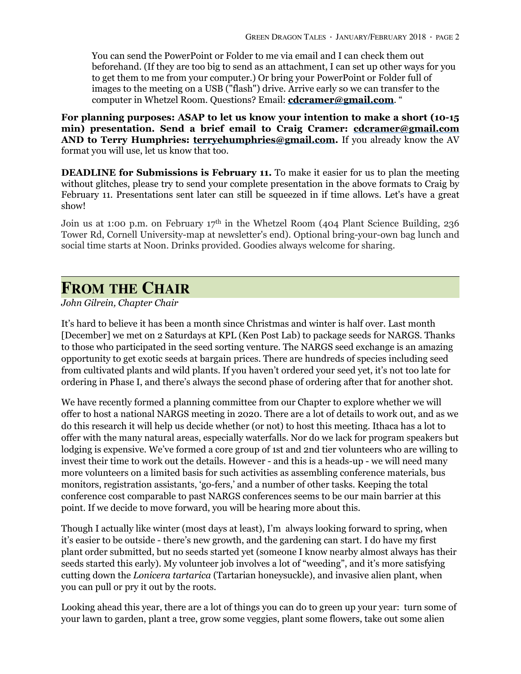You can send the PowerPoint or Folder to me via email and I can check them out beforehand. (If they are too big to send as an attachment, I can set up other ways for you to get them to me from your computer.) Or bring your PowerPoint or Folder full of images to the meeting on a USB ("flash") drive. Arrive early so we can transfer to the computer in Whetzel Room. Questions? Email: **[cdcramer@gmail.com](mailto:cdcramer@gmail.com)**. "

**For planning purposes: ASAP to let us know your intention to make a short (10-15 min) presentation. Send a brief email to Craig Cramer: [cdcramer@gmail.com](mailto:cdcramer@gmail.com) AND to Terry Humphries: [terryehumphries@gmail.com](mailto:terryehumphries@gmail.com).** If you already know the AV format you will use, let us know that too.

**DEADLINE for Submissions is February 11.** To make it easier for us to plan the meeting without glitches, please try to send your complete presentation in the above formats to Craig by February 11. Presentations sent later can still be squeezed in if time allows. Let's have a great show!

Join us at 1:00 p.m. on February 17<sup>th</sup> in the Whetzel Room (404 Plant Science Building, 236 Tower Rd, Cornell University-map at newsletter's end). Optional bring-your-own bag lunch and social time starts at Noon. Drinks provided. Goodies always welcome for sharing.

### **FROM THE CHAIR**

#### *John Gilrein, Chapter Chair*

It's hard to believe it has been a month since Christmas and winter is half over. Last month [December] we met on 2 Saturdays at KPL (Ken Post Lab) to package seeds for NARGS. Thanks to those who participated in the seed sorting venture. The NARGS seed exchange is an amazing opportunity to get exotic seeds at bargain prices. There are hundreds of species including seed from cultivated plants and wild plants. If you haven't ordered your seed yet, it's not too late for ordering in Phase I, and there's always the second phase of ordering after that for another shot.

We have recently formed a planning committee from our Chapter to explore whether we will offer to host a national NARGS meeting in 2020. There are a lot of details to work out, and as we do this research it will help us decide whether (or not) to host this meeting. Ithaca has a lot to offer with the many natural areas, especially waterfalls. Nor do we lack for program speakers but lodging is expensive. We've formed a core group of 1st and 2nd tier volunteers who are willing to invest their time to work out the details. However - and this is a heads-up - we will need many more volunteers on a limited basis for such activities as assembling conference materials, bus monitors, registration assistants, 'go-fers,' and a number of other tasks. Keeping the total conference cost comparable to past NARGS conferences seems to be our main barrier at this point. If we decide to move forward, you will be hearing more about this.

Though I actually like winter (most days at least), I'm always looking forward to spring, when it's easier to be outside - there's new growth, and the gardening can start. I do have my first plant order submitted, but no seeds started yet (someone I know nearby almost always has their seeds started this early). My volunteer job involves a lot of "weeding", and it's more satisfying cutting down the *Lonicera tartarica* (Tartarian honeysuckle), and invasive alien plant, when you can pull or pry it out by the roots.

Looking ahead this year, there are a lot of things you can do to green up your year: turn some of your lawn to garden, plant a tree, grow some veggies, plant some flowers, take out some alien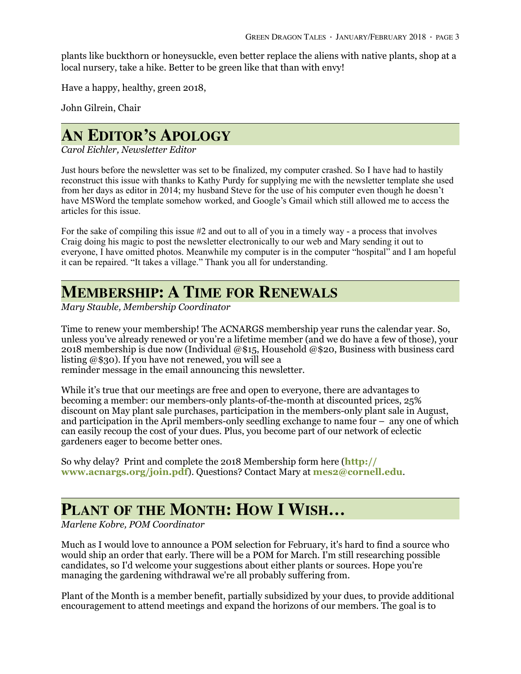plants like buckthorn or honeysuckle, even better replace the aliens with native plants, shop at a local nursery, take a hike. Better to be green like that than with envy!

Have a happy, healthy, green 2018,

John Gilrein, Chair

## **AN EDITOR'S APOLOGY**

*Carol Eichler, Newsletter Editor* 

Just hours before the newsletter was set to be finalized, my computer crashed. So I have had to hastily reconstruct this issue with thanks to Kathy Purdy for supplying me with the newsletter template she used from her days as editor in 2014; my husband Steve for the use of his computer even though he doesn't have MSWord the template somehow worked, and Google's Gmail which still allowed me to access the articles for this issue.

For the sake of compiling this issue #2 and out to all of you in a timely way - a process that involves Craig doing his magic to post the newsletter electronically to our web and Mary sending it out to everyone, I have omitted photos. Meanwhile my computer is in the computer "hospital" and I am hopeful it can be repaired. "It takes a village." Thank you all for understanding.

### **MEMBERSHIP: A TIME FOR RENEWALS**

*Mary Stauble, Membership Coordinator* 

Time to renew your membership! The ACNARGS membership year runs the calendar year. So, unless you've already renewed or you're a lifetime member (and we do have a few of those), your 2018 membership is due now (Individual @\$15, Household @\$20, Business with business card listing @\$30). If you have not renewed, you will see a reminder message in the email announcing this newsletter.

While it's true that our meetings are free and open to everyone, there are advantages to becoming a member: our members-only plants-of-the-month at discounted prices, 25% discount on May plant sale purchases, participation in the members-only plant sale in August, and participation in the April members-only seedling exchange to name four – any one of which can easily recoup the cost of your dues. Plus, you become part of our network of eclectic gardeners eager to become better ones.

[So why delay? Print and complete the 2018 Membership form here \(](http://www.acnargs.org/join.pdf)**http:// www.acnargs.org/join.pdf**). Questions? Contact Mary at **[mes2@cornell.edu](mailto:mes2@cornell.edu)**.

# **PLANT OF THE MONTH: HOW I WISH…**

*Marlene Kobre, POM Coordinator*

Much as I would love to announce a POM selection for February, it's hard to find a source who would ship an order that early. There will be a POM for March. I'm still researching possible candidates, so I'd welcome your suggestions about either plants or sources. Hope you're managing the gardening withdrawal we're all probably suffering from.

Plant of the Month is a member benefit, partially subsidized by your dues, to provide additional encouragement to attend meetings and expand the horizons of our members. The goal is to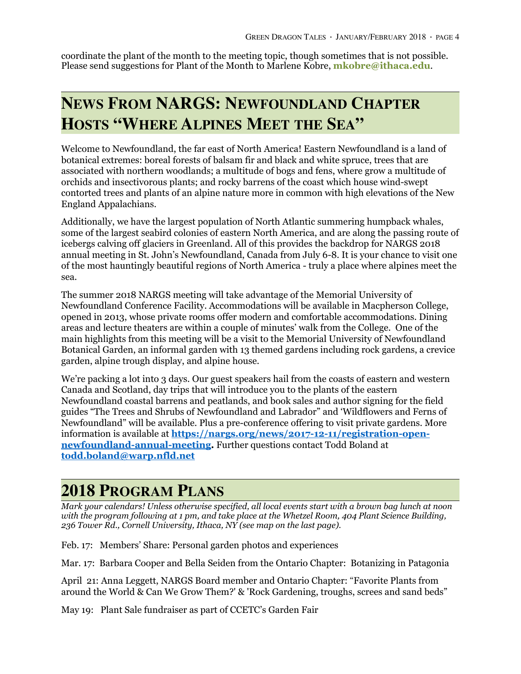coordinate the plant of the month to the meeting topic, though sometimes that is not possible. Please send suggestions for Plant of the Month to Marlene Kobre, **[mkobre@ithaca.edu](mailto:mkobre@ithaca.edu)**.

# **NEWS FROM NARGS: NEWFOUNDLAND CHAPTER HOSTS "WHERE ALPINES MEET THE SEA"**

Welcome to Newfoundland, the far east of North America! Eastern Newfoundland is a land of botanical extremes: boreal forests of balsam fir and black and white spruce, trees that are associated with northern woodlands; a multitude of bogs and fens, where grow a multitude of orchids and insectivorous plants; and rocky barrens of the coast which house wind-swept contorted trees and plants of an alpine nature more in common with high elevations of the New England Appalachians.

Additionally, we have the largest population of North Atlantic summering humpback whales, some of the largest seabird colonies of eastern North America, and are along the passing route of icebergs calving off glaciers in Greenland. All of this provides the backdrop for NARGS 2018 annual meeting in St. John's Newfoundland, Canada from July 6-8. It is your chance to visit one of the most hauntingly beautiful regions of North America - truly a place where alpines meet the sea.

The summer 2018 NARGS meeting will take advantage of the Memorial University of Newfoundland Conference Facility. Accommodations will be available in Macpherson College, opened in 2013, whose private rooms offer modern and comfortable accommodations. Dining areas and lecture theaters are within a couple of minutes' walk from the College. One of the main highlights from this meeting will be a visit to the Memorial University of Newfoundland Botanical Garden, an informal garden with 13 themed gardens including rock gardens, a crevice garden, alpine trough display, and alpine house.

We're packing a lot into 3 days. Our guest speakers hail from the coasts of eastern and western Canada and Scotland, day trips that will introduce you to the plants of the eastern Newfoundland coastal barrens and peatlands, and book sales and author signing for the field guides "The Trees and Shrubs of Newfoundland and Labrador" and 'Wildflowers and Ferns of Newfoundland" will be available. Plus a pre-conference offering to visit private gardens. More information is available at **[https://nargs.org/news/2017-12-11/registration-open](https://nargs.org/news/2017-12-11/registration-open-newfoundland-annual-meeting)newfoundland-annual-meeting.** Further questions contact Todd Boland at **[todd.boland@warp.nfld.net](mailto:todd.boland@warp.nfld.net)**

# **2018 PROGRAM PLANS**

*Mark your calendars! Unless otherwise specified, all local events start with a brown bag lunch at noon with the program following at 1 pm, and take place at the Whetzel Room, 404 Plant Science Building, 236 Tower Rd., Cornell University, Ithaca, NY (see map on the last page).* 

Feb. 17: Members' Share: Personal garden photos and experiences

Mar. 17: Barbara Cooper and Bella Seiden from the Ontario Chapter: Botanizing in Patagonia

April 21: Anna Leggett, NARGS Board member and Ontario Chapter: "Favorite Plants from around the World & Can We Grow Them?' & 'Rock Gardening, troughs, screes and sand beds"

May 19: Plant Sale fundraiser as part of CCETC's Garden Fair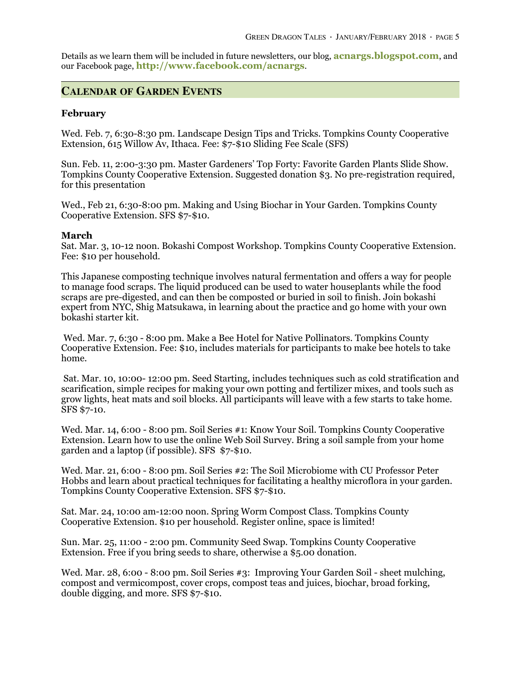[Details as we learn them will be included in future newsletters, our blog,](http://acnargs.blogspot.com/) **acnargs.blogspot.com**, and our Facebook page, **http://www.facebook.com/acnargs**.

### **CALENDAR OF GARDEN EVENTS**

#### **February**

Wed. Feb. 7, 6:30-8:30 pm. Landscape Design Tips and Tricks. Tompkins County Cooperative Extension, 615 Willow Av, Ithaca. Fee: \$7-\$10 Sliding Fee Scale (SFS)

Sun. Feb. 11, 2:00-3:30 pm. Master Gardeners' Top Forty: Favorite Garden Plants Slide Show. Tompkins County Cooperative Extension. Suggested donation \$3. No pre-registration required, for this presentation

Wed., Feb 21, 6:30-8:00 pm. Making and Using Biochar in Your Garden. Tompkins County Cooperative Extension. SFS \$7-\$10.

#### **March**

Sat. Mar. 3, 10-12 noon. Bokashi Compost Workshop. Tompkins County Cooperative Extension. Fee: \$10 per household.

This Japanese composting technique involves natural fermentation and offers a way for people to manage food scraps. The liquid produced can be used to water houseplants while the food scraps are pre-digested, and can then be composted or buried in soil to finish. Join bokashi expert from NYC, Shig Matsukawa, in learning about the practice and go home with your own bokashi starter kit.

 Wed. Mar. 7, 6:30 - 8:00 pm. Make a Bee Hotel for Native Pollinators. Tompkins County Cooperative Extension. Fee: \$10, includes materials for participants to make bee hotels to take home.

 Sat. Mar. 10, 10:00- 12:00 pm. Seed Starting, includes techniques such as cold stratification and scarification, simple recipes for making your own potting and fertilizer mixes, and tools such as grow lights, heat mats and soil blocks. All participants will leave with a few starts to take home. SFS \$7-10.

Wed. Mar. 14, 6:00 - 8:00 pm. Soil Series #1: Know Your Soil. Tompkins County Cooperative Extension. Learn how to use the online Web Soil Survey. Bring a soil sample from your home garden and a laptop (if possible). SFS \$7-\$10.

Wed. Mar. 21, 6:00 - 8:00 pm. Soil Series #2: The Soil Microbiome with CU Professor Peter Hobbs and learn about practical techniques for facilitating a healthy microflora in your garden. Tompkins County Cooperative Extension. SFS \$7-\$10.

Sat. Mar. 24, 10:00 am-12:00 noon. Spring Worm Compost Class. Tompkins County Cooperative Extension. \$10 per household. Register online, space is limited!

Sun. Mar. 25, 11:00 - 2:00 pm. Community Seed Swap. Tompkins County Cooperative Extension. Free if you bring seeds to share, otherwise a \$5.00 donation.

Wed. Mar. 28, 6:00 - 8:00 pm. Soil Series #3: Improving Your Garden Soil - sheet mulching, compost and vermicompost, cover crops, compost teas and juices, biochar, broad forking, double digging, and more. SFS \$7-\$10.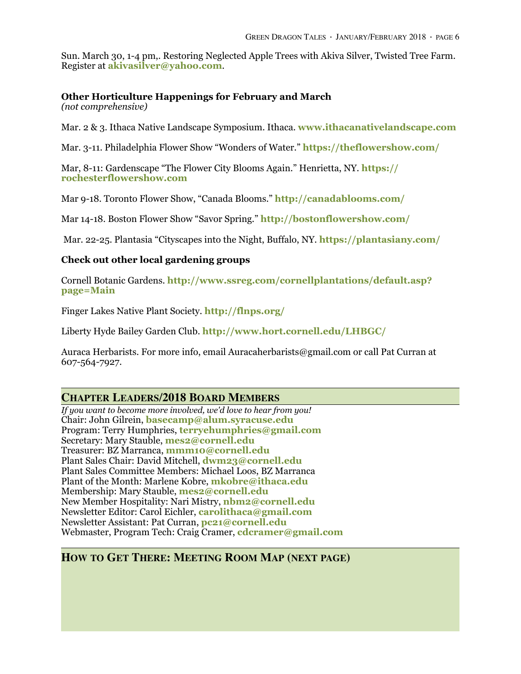Sun. March 30, 1-4 pm,. Restoring Neglected Apple Trees with Akiva Silver, Twisted Tree Farm. Register at **[akivasilver@yahoo.com](mailto:akivasilver@yahoo.com?subject=)**.

#### **Other Horticulture Happenings for February and March**

*(not comprehensive)*

Mar. 2 & 3. Ithaca Native Landscape Symposium. Ithaca. **[www.ithacanativelandscape.com](https://www.ithacanativelandscape.com)**

Mar. 3-11. Philadelphia Flower Show "Wonders of Water." **<https://theflowershow.com/>**

[Mar, 8-11: Gardenscape "The Flower City Blooms Again." Henrietta, NY.](https://rochesterflowershow.com) **https:// rochesterflowershow.com**

Mar 9-18. Toronto Flower Show, "Canada Blooms." **<http://canadablooms.com/>**

Mar 14-18. Boston Flower Show "Savor Spring." **<http://bostonflowershow.com/>**

Mar. 22-25. Plantasia "Cityscapes into the Night, Buffalo, NY. **<https://plantasiany.com/>**

#### **Check out other local gardening groups**

Cornell Botanic Gardens. **[http://www.ssreg.com/cornellplantations/default.asp?](http://www.ssreg.com/cornellplantations/default.asp?page=Main) page=Main**

Finger Lakes Native Plant Society. **<http://flnps.org/>**

Liberty Hyde Bailey Garden Club. **<http://www.hort.cornell.edu/LHBGC/>**

Auraca Herbarists. For more info, email Auracaherbarists@gmail.com or call Pat Curran at 607-564-7927.

### **CHAPTER LEADERS/2018 BOARD MEMBERS**

*If you want to become more involved, we'd love to hear from you!*  Chair: John Gilrein, **[basecamp@alum.syracuse.edu](mailto:basecamp@alum.syracuse.edu)** Program: Terry Humphries, **terryehumphries@gmail.com** Secretary: Mary Stauble, **[mes2@cornell.edu](mailto:mes2@cornell.edu)** Treasurer: BZ Marranca, **[mmm10@cornell.edu](mailto:mmm10@cornell.edu)** Plant Sales Chair: David Mitchell, **[dwm23@cornell.edu](mailto:dwm23@cornell.edu)** Plant Sales Committee Members: Michael Loos, BZ Marranca Plant of the Month: Marlene Kobre, **[mkobre@ithaca.edu](mailto:mkobre@ithaca.edu)** Membership: Mary Stauble, **[mes2@cornell.edu](mailto:mes2@cornell.edu)** New Member Hospitality: Nari Mistry, **[nbm2@cornell.edu](mailto:nbm2@cornell.edu)** Newsletter Editor: Carol Eichler, **[carolithaca@gmail.com](mailto:carolithaca@gmail.com)** Newsletter Assistant: Pat Curran, **[pc21@cornell.edu](mailto:pc21@cornell.edu)** Webmaster, Program Tech: Craig Cramer, **[cdcramer@gmail.com](mailto:cdcramer@gmail.com)**

### **HOW TO GET THERE: MEETING ROOM MAP (NEXT PAGE)**